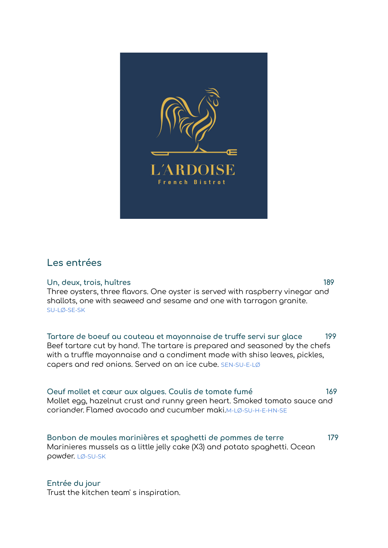

# **Les entrées**

**Un, deux, trois, huîtres 189** Three oysters, three flavors. One oyster is served with raspberry vinegar and shallots, one with seaweed and sesame and one with tarragon granite. SU-LØ-SE-SK

**Tartare de boeuf au couteau et mayonnaise de truffe servi sur glace 199** Beef tartare cut by hand. The tartare is prepared and seasoned by the chefs with a truffle mayonnaise and a condiment made with shiso leaves, pickles, capers and red onions. Served on an ice cube. SEN-SU-E-LØ

**Oeuf mollet et cœur aux algues. Coulis de tomate fumé 169** Mollet egg, hazelnut crust and runny green heart. Smoked tomato sauce and coriander. Flamed avocado and cucumber maki.M-LØ-SU-H-E-HN-SE

**Bonbon de moules marinières et spaghetti de pommes de terre 179** Marinieres mussels as a little jelly cake (X3) and potato spaghetti. Ocean powder. LØ-SU-SK

## **Entrée du jour**

Trust the kitchen team' s inspiration.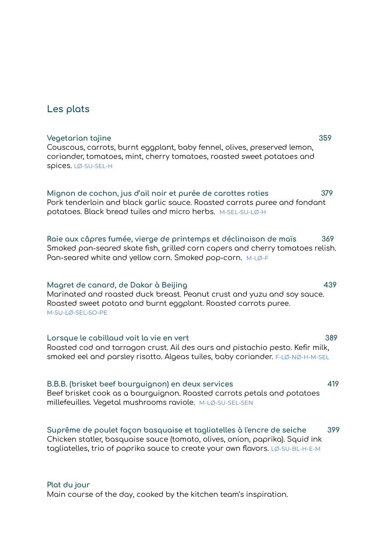# **Les plats**

# Couscous, carrots, burnt eggplant, baby fennel, olives, preserved lemon, coriander, tomatoes, mint, cherry tomatoes, roasted sweet potatoes and spices. LØ-SU-SEL-H **Mignon de cochon, jus d'ail noir et purée de carottes roties 379** Pork tenderloin and black garlic sauce. Roasted carrots puree and fondant potatoes. Black bread tuiles and micro herbs. M-SEL-SU-LØ-H **Raie aux câpres fumée, vierge de printemps et déclinaison de maïs 369** Smoked pan-seared skate fish, grilled corn capers and cherry tomatoes relish. Pan-seared white and yellow corn. Smoked pop-corn. M-LØ-F **Magret de canard, de Dakar à Beijing 439** Marinated and roasted duck breast. Peanut crust and yuzu and soy sauce. Roasted sweet potato and burnt eggplant. Roasted carrots puree. M-SU-LØ-SEL-SO-PE

**Lorsque le cabillaud voit la vie en vert 389** Roasted cod and tarragon crust. Ail des ours and pistachio pesto. Kefir milk, smoked eel and parsley risotto. Algeas tuiles, baby coriander. F-LØ-NØ-H-M-SEL

**B.B.B. (brisket beef bourguignon) en deux services 419** Beef brisket cook as a bourguignon. Roasted carrots petals and potatoes millefeuilles. Vegetal mushrooms raviole. M-LØ-SU-SEL-SEN

### **Suprême de poulet façon basquaise et tagliatelles à l'encre de seiche 399**

Chicken statler, basquaise sauce (tomato, olives, onion, paprika). Squid ink tagliatelles, trio of paprika sauce to create your own flavors. LØ-SU-BL-H-E-M

### **Plat du jour**

Main course of the day, cooked by the kitchen team's inspiration.

**Vegetarian tajine 359**